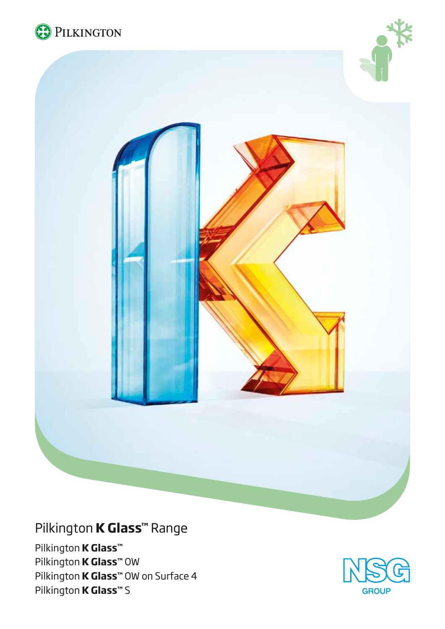





# Pilkington **K Glass™** Range

Pilkington **K Glass™** Pilkington **K Glass™** OW Pilkington **K Glass™** OW on Surface 4 Pilkington **K Glass™** S

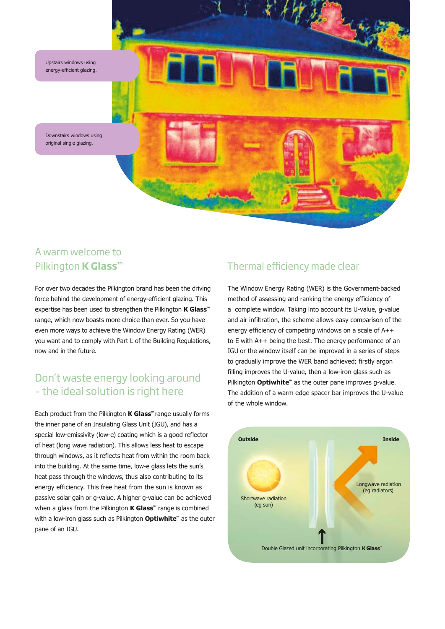

# A warm welcome to Pilkington **K Glass™**

For over two decades the Pilkington brand has been the driving force behind the development of energy-efficient glazing. This expertise has been used to strengthen the Pilkington **K Glass™** range, which now boasts more choice than ever. So you have even more ways to achieve the Window Energy Rating (WER) you want and to comply with Part L of the Building Regulations, now and in the future.

# Don't waste energy looking around – the ideal solution is right here

Each product from the Pilkington **K Glass™** range usually forms the inner pane of an Insulating Glass Unit (IGU), and has a special low-emissivity (low-e) coating which is a good reflector of heat (long wave radiation). This allows less heat to escape through windows, as it reflects heat from within the room back into the building. At the same time, low-e glass lets the sun's heat pass through the windows, thus also contributing to its energy efficiency. This free heat from the sun is known as passive solar gain or g-value. A higher g-value can be achieved when a glass from the Pilkington **K Glass™** range is combined with a low-iron glass such as Pilkington **Optiwhite™** as the outer pane of an IGU.

# Thermal efficiency made clear

The Window Energy Rating (WER) is the Government-backed method of assessing and ranking the energy efficiency of a complete window. Taking into account its U-value, g-value and air infiltration, the scheme allows easy comparison of the energy efficiency of competing windows on a scale of A++ to E with A++ being the best. The energy performance of an IGU or the window itself can be improved in a series of steps to gradually improve the WER band achieved; firstly argon filling improves the U-value, then a low-iron glass such as Pilkington **Optiwhite™** as the outer pane improves q-value. The addition of a warm edge spacer bar improves the U-value of the whole window.

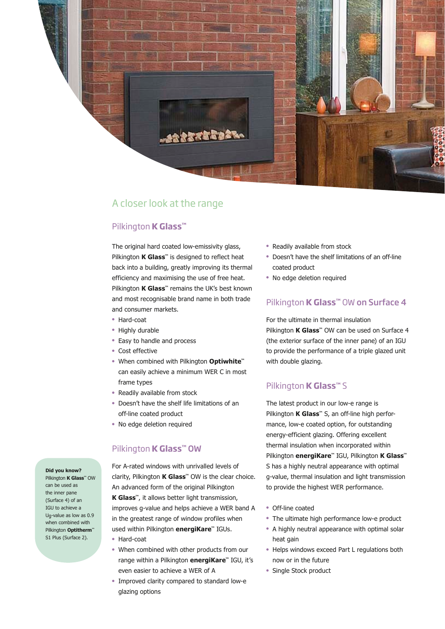![](_page_2_Picture_0.jpeg)

## A closer look at the range

### Pilkington **K Glass™**

The original hard coated low-emissivity glass, Pilkington **K Glass™** is designed to reflect heat back into a building, greatly improving its thermal efficiency and maximising the use of free heat. Pilkington **K Glass™** remains the UK's best known and most recognisable brand name in both trade and consumer markets.

- Hard-coat
- Highly durable
- Easy to handle and process
- Cost effective
- <sup>l</sup> When combined with Pilkington **Optiwhite™** can easily achieve a minimum WER C in most frame types
- Readily available from stock
- Doesn't have the shelf life limitations of an off-line coated product
- No edge deletion required

#### Pilkington **K Glass™** OW

For A-rated windows with unrivalled levels of clarity, Pilkington **K Glass™** OW is the clear choice. An advanced form of the original Pilkington **K Glass™**, it allows better light transmission, improves g-value and helps achieve a WER band A in the greatest range of window profiles when used within Pilkington **energiKare™** IGUs.

- Hard-coat
- When combined with other products from our range within a Pilkington **energiKare™** IGU, it's even easier to achieve a WER of A
- Improved clarity compared to standard low-e glazing options
- Readily available from stock
- Doesn't have the shelf limitations of an off-line coated product
- No edge deletion required

### Pilkington **K Glass™** OW on Surface 4

For the ultimate in thermal insulation Pilkington **K Glass™** OW can be used on Surface 4 (the exterior surface of the inner pane) of an IGU to provide the performance of a triple glazed unit with double glazing.

#### Pilkington **K Glass™** S

The latest product in our low-e range is Pilkington **K Glass™** S, an off-line high performance, low-e coated option, for outstanding energy-efficient glazing. Offering excellent thermal insulation when incorporated within Pilkington **energiKare™** IGU, Pilkington **K Glass™** S has a highly neutral appearance with optimal g-value, thermal insulation and light transmission to provide the highest WER performance.

- Off-line coated
- The ultimate high performance low-e product
- A highly neutral appearance with optimal solar heat gain
- Helps windows exceed Part L regulations both now or in the future
- Single Stock product

**Did you know?** Pilkington **K Glass™** OW can be used as the inner pane (Surface 4) of an IGU to achieve a Ug-value as low as 0.9 when combined with Pilkington **Optitherm™**  S1 Plus (Surface 2).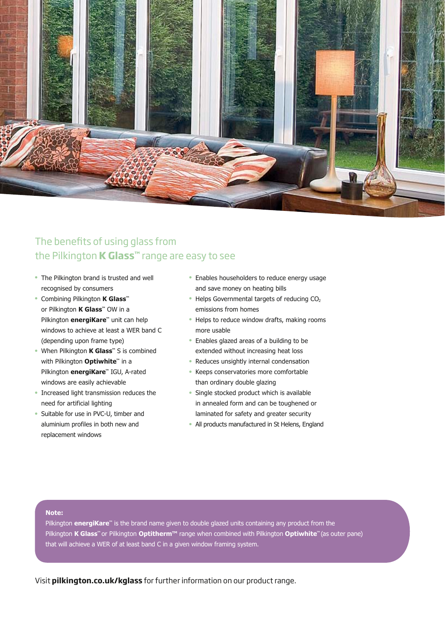![](_page_3_Picture_0.jpeg)

# The benefits of using glass from the Pilkington **K Glass™** range are easy to see

- The Pilkington brand is trusted and well recognised by consumers
- <sup>l</sup> Combining Pilkington **K Glass™** or Pilkington **K Glass™** OW in a Pilkington **energiKare™** unit can help windows to achieve at least a WER band C (depending upon frame type)
- <sup>l</sup> When Pilkington **K Glass™** S is combined with Pilkington **Optiwhite™** in a Pilkington **energiKare™** IGU, A-rated windows are easily achievable
- <sup>l</sup> Increased light transmission reduces the need for artificial lighting
- Suitable for use in PVC-U, timber and aluminium profiles in both new and replacement windows
- Enables householders to reduce energy usage and save money on heating bills
- $\bullet$  Helps Governmental targets of reducing CO<sub>2</sub> emissions from homes
- Helps to reduce window drafts, making rooms more usable
- Enables glazed areas of a building to be extended without increasing heat loss
- Reduces unsightly internal condensation
- Keeps conservatories more comfortable than ordinary double glazing
- Single stocked product which is available in annealed form and can be toughened or laminated for safety and greater security
- All products manufactured in St Helens, England

#### **Note:**

Pilkington **energiKare™** is the brand name given to double glazed units containing any product from the Pilkington **K Glass™** or Pilkington **Optitherm™** range when combined with Pilkington **Optiwhite™** (as outer pane) that will achieve a WER of at least band C in a given window framing system.

Visit **pilkington.co.uk/kglass** for further information on our product range.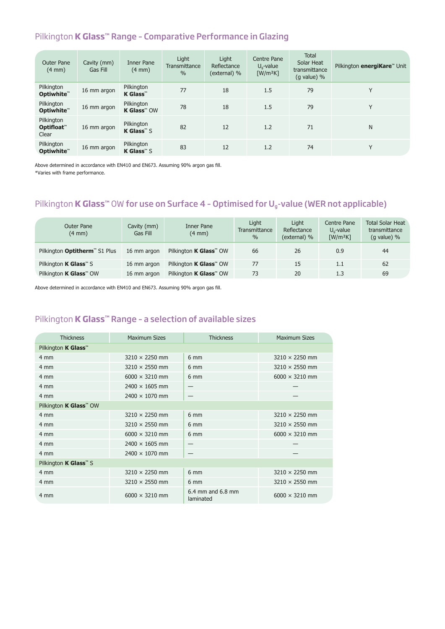### Pilkington **K Glass™** Range – Comparative Performance in Glazing

| <b>Outer Pane</b><br>$(4 \text{ mm})$ | Cavity (mm)<br>Gas Fill | <b>Inner Pane</b><br>$(4 \text{ mm})$ | Light<br>Transmittance<br>$\frac{0}{0}$ | Light<br>Reflectance<br>(external) % | Centre Pane<br>$Ua$ -value<br>$\lceil W/m^2K \rceil$ | <b>Total</b><br>Solar Heat<br>transmittance<br>$(g$ value) % | Pilkington energiKare™ Unit |
|---------------------------------------|-------------------------|---------------------------------------|-----------------------------------------|--------------------------------------|------------------------------------------------------|--------------------------------------------------------------|-----------------------------|
| Pilkington<br>Optiwhite™              | 16 mm argon             | Pilkington<br><b>K</b> Glass™         | 77                                      | 18                                   | 1.5                                                  | 79                                                           | Y                           |
| Pilkington<br>Optiwhite"              | 16 mm argon             | Pilkington<br><b>K Glass</b> ™ OW     | 78                                      | 18                                   | 1.5                                                  | 79                                                           | Y                           |
| Pilkington<br>Optifloat™<br>Clear     | 16 mm argon             | Pilkington<br><b>K Glass</b> ™S       | 82                                      | 12                                   | 1.2                                                  | 71                                                           | N                           |
| Pilkington<br>Optiwhite™              | 16 mm argon             | Pilkington<br><b>K Glass</b> ™ S      | 83                                      | 12                                   | 1.2                                                  | 74                                                           | Y                           |

Above determined in accordance with EN410 and EN673. Assuming 90% argon gas fill.

\*Varies with frame performance.

# Pilkington **K Glass™** OW for use on Surface 4 - Optimised for U<sub>g</sub>-value (WER not applicable)

| Outer Pane<br>$(4 \text{ mm})$            | Cavity (mm)<br>Gas Fill | Inner Pane<br>$(4 \text{ mm})$            | Light<br><b>Transmittance</b><br>$\%$ | Liaht<br>Reflectance<br>(external) % | Centre Pane<br>$U_0$ -value<br>$\lceil W/m^2K \rceil$ | <b>Total Solar Heat</b><br>transmittance<br>$(g value)$ % |
|-------------------------------------------|-------------------------|-------------------------------------------|---------------------------------------|--------------------------------------|-------------------------------------------------------|-----------------------------------------------------------|
| Pilkington Optitherm <sup>"</sup> S1 Plus | 16 mm argon             | Pilkington <b>K Glass</b> <sup>™</sup> OW | 66                                    | 26                                   | 0.9                                                   | 44                                                        |
| Pilkington <b>K Glass</b> <sup>™</sup> S  | 16 mm argon             | Pilkington <b>K Glass</b> <sup>™</sup> OW | 77                                    | 15                                   | 1.1                                                   | 62                                                        |
| Pilkington <b>K Glass</b> ™ OW            | 16 mm argon             | Pilkington <b>K Glass</b> <sup>™</sup> OW | 73                                    | 20                                   | 1.3                                                   | 69                                                        |

Above determined in accordance with EN410 and EN673. Assuming 90% argon gas fill.

### Pilkington **K Glass™** Range – a selection of available sizes

| <b>Thickness</b>                          | <b>Maximum Sizes</b>  | <b>Thickness</b>               | <b>Maximum Sizes</b>  |  |  |  |  |  |
|-------------------------------------------|-----------------------|--------------------------------|-----------------------|--|--|--|--|--|
| Pilkington <b>K Glass</b> ™               |                       |                                |                       |  |  |  |  |  |
| 4 mm                                      | $3210 \times 2250$ mm | $6 \text{ mm}$                 | $3210 \times 2250$ mm |  |  |  |  |  |
| 4 mm                                      | $3210 \times 2550$ mm | $6 \text{ mm}$                 | $3210 \times 2550$ mm |  |  |  |  |  |
| 4 mm                                      | $6000 \times 3210$ mm | $6 \text{ mm}$                 | $6000 \times 3210$ mm |  |  |  |  |  |
| 4 mm                                      | $2400 \times 1605$ mm |                                |                       |  |  |  |  |  |
| 4 mm                                      | $2400 \times 1070$ mm |                                |                       |  |  |  |  |  |
| Pilkington <b>K Glass</b> <sup>™</sup> OW |                       |                                |                       |  |  |  |  |  |
| 4 mm                                      | $3210 \times 2250$ mm | $6 \text{ mm}$                 | $3210 \times 2250$ mm |  |  |  |  |  |
| 4 mm                                      | $3210 \times 2550$ mm | $6 \text{ mm}$                 | $3210 \times 2550$ mm |  |  |  |  |  |
| 4 mm                                      | $6000 \times 3210$ mm | $6 \, \text{mm}$               | $6000 \times 3210$ mm |  |  |  |  |  |
| 4 mm                                      | $2400 \times 1605$ mm |                                |                       |  |  |  |  |  |
| 4 mm                                      | $2400 \times 1070$ mm |                                |                       |  |  |  |  |  |
| Pilkington <b>K Glass</b> <sup>™</sup> S  |                       |                                |                       |  |  |  |  |  |
| 4 mm                                      | $3210 \times 2250$ mm | 6 mm                           | $3210 \times 2250$ mm |  |  |  |  |  |
| 4 mm                                      | $3210 \times 2550$ mm | 6 mm                           | $3210 \times 2550$ mm |  |  |  |  |  |
| 4 mm                                      | $6000 \times 3210$ mm | 6.4 mm and 6.8 mm<br>laminated | $6000 \times 3210$ mm |  |  |  |  |  |